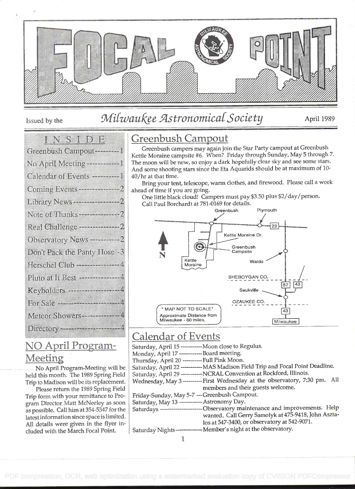

# Issued by the Milwaukee Astronomical Society April 1989

## in. San Bons

| Greenbush Campon – – – – 1          |
|-------------------------------------|
| No April Meeting -------------1     |
| Calendar of Events --------1        |
| Coming Events ---------------2      |
|                                     |
|                                     |
| Real Challenge --------------2      |
| Observatory News -----------2       |
| Don't Pack the Panty Hose +3        |
| Herschel Club -----------------4    |
| Pluto at It Best ------------------ |
| Keyholders - Harrison of            |
|                                     |
| Meteor Showers --------------4      |
|                                     |
|                                     |

## NO April Program-Meeting

No April Program-Meeting will be held this month. The 1989 Spring Field Trip to Madison will be its replacement.

Please return the 1989 Spring Field Trip form with your remittance to Program Director Matt McNeeley as soon as possible. Call him at 354-5347 for the latest information since space is limited. All details were given in the flyer included with the March Focal Point.

## Greenbush Campout

Greenbush campers may again join the Star Party campout at Greenbush Kettle Moraine campsite #6. When? Friday through Sunday, May 5 through 7. The moon will be new, so enjoy a dark hopefully clear sky and see some stars. And some shooting stars since the Eta Aquarids should be at maximum of 10- 40/hr at that time.

Bring your tent, telescope, warm clothes, and firewood. Please call a week ahead of time if you are going.

One little black cloud! Campers must pay \$3.50 plus \$2/day/person. Call Paul Borchardt at 781-0169 for details.



## Calendar of Events

| Saturday, April 15 ----------- Moon close to Regulus. |                                                                                   |
|-------------------------------------------------------|-----------------------------------------------------------------------------------|
| Monday, April 17 -------------Board meeting.          |                                                                                   |
| Thursday, April 20 ---------Full Pink Moon.           |                                                                                   |
|                                                       | Saturday, April 22 ----------- MAS Madison Field Trip and Focal Point Deadline.   |
|                                                       | Saturday, April 29 -----------NCRAL Convention at Rockford, Illinois.             |
|                                                       | Wednesday, May 3 ---------- First Wednesday at the observatory, 7:30 pm. All      |
|                                                       | members and their guests welcome.                                                 |
| Friday-Sunday, May 5-7 --- Greenbush Campout.         |                                                                                   |
| Saturday, May 13 ----------- Astronomy Day.           |                                                                                   |
|                                                       | Saturdays -------------------------Observatory maintenance and improvements. Help |
|                                                       | wanted. Call Gerry Samolyk at 475-9418, John Aszta-                               |
|                                                       | los at 547-3400, or observatory at 542-9071.                                      |
|                                                       | Saturday Nights--------------- Member's night at the observatory.                 |
|                                                       |                                                                                   |

 $\mathbf{1}$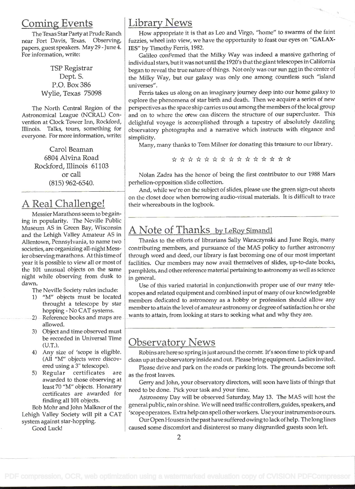### Coming Events

The Texas Star Party at Prude Ranch near Fort Davis, Texas. Observing, papers, guest speakers. May29 - June 4. For information, write:

> TSP Registrar Dept. S. P.O. Box 386 Wylie, Texas 75098

The North Central Region of the Astronomical League (NCRAL) Convention at Clock Tower Inn, Rockford, Illinois. Talks, tours, something for everyone. For more information, write:

> Carol Beaman 6804 Alvina Road Rockford, Illinois 61103 or call (815) 962-6540,

## A Real Challenge!

Messier Marathons seem to be gaining in popularity. The Neville Public Museum AS in Green Bay, Wisconsin and the Lehigh Valley Amateur AS in Allentown, Pennsylvania, to name two societies, are organizing all-night Messier observing marathons. At this time of year it is possible to view all or most of the 101 unusual objects on the same night while observing from dusk to dawn.

The Neville Society rules include:

- 1) "M" objects must be located throught a telescope by star hopping - No CAT systems.
- 2) Reference books and maps are allowed.
- 3) Object and time observed must be recorded in Universal Time (U.T.).
- 4) Any size of 'scope is eligible. (All "M" objects were discovered using a 3' telescope).
- 5) Regular certificates are awarded to those observing at least 70 "M" objects. Honarary certificates are awarded for finding all 101 objects.

Bob Mohr and John Malkner of the Lehigh Valley Society will pit a CAT system against star-hopping. Good Luck!

### Library News

How appropriate it is that as Leo and Virgo, "home" to swarms of the faint fuzzies, wheel into view, we have the opportunity to feast our eyes on "GALAXlES" by Timothy Ferris, 1982.

Galileo confirmed that the Milky Way was indeed a massive gathering of individual stars, but it was not until the 1920's that the giant telescopes in California began to reveal the true nature of things. Not only was our sun not in the center of the Milky Way, but our galaxy was only one among countless such "island universes".

Ferris takes us along on an imaginary journey deep into our home galaxy to explore the phenomena of star birth and death. Then we acquire a series of new perspectives as the space ship carries us out among the members of the local group and on to where the erew can discern the structure of our supercluster. This delightful voyage is accomplished through a tapestry of absolutely dazzling observatory photographs and a narrative which instructs with elegance and simplicity.

Many, many thanks to Tom Milner for donating this treasure to our library.

\* \* \* \* \* \* \* \* \* \* \* \* \* \* \*

Nolan Zadra has the honor of being the first contributor to our 1988 Mars perhelion-opposition slide collection.

And, while we're on the subject of slides, please use the green sign-out sheets on the closet door when borrowing audio-visual materials. It is difficult to trace their whereabouts in the logbook.

## A Note of Thanks by LeRoy Simandl

Thanks to the efforts of librarians Sally Waraczynski and June Regis, many contributing members, and pursuance of the MAS policy to further astronomy through word and deed, our library is fast becoming one of our most important facilities. Our members may now avail themselves of slides, up-to-date books, pamphlets, and other reference material pertaining to astronomy as well as science in general.

Use of this varied material in conjunctionwith proper use of our many telescopes and related equipment and combined input of many of our knowledgeable members dedicated to astronomy as a hobby or profession should allow any member to attain the level of amateur astronomy or degree of satisfaction he or she wants to attain, from looking at stars to seeking what and why they are.

## Observatory News

Robins are here so spring is just around the corner. It's soon time to pick up and clean up at the observatory inside and out. Please bring equipment. Ladies invited.

Please drive and park on the roads or parking lots. The grounds become soft as the frost leaves.

Gerry and John, your observatory directors, will soon have lists of things that need to be done. Pick your task and your time.

Astronomy Day will be observed Saturday, May 13. The MAS will host the general public, rainor shine. We will need traffic controllers, guides, speakers, and 'scope operators. Extra help can spell other workers. Useyour instruments or ours.

Our OpenHouses in the past have suffered owing to lack ofhelp. The long lines caused some discomfort and disinterest so many disgruntled guests soon left.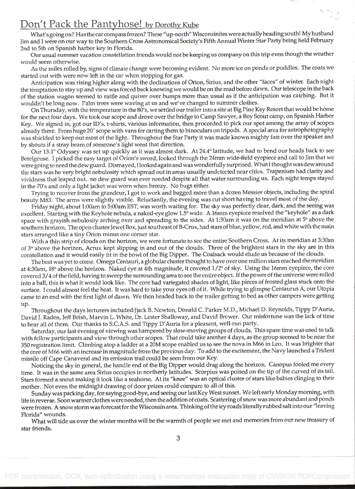### Don't Pack the Pantyhose! by Dorothy Kube

What's going on? Has the car compass frozen? These "up-north" Wisconsinites were actually headingsouth! My husband Jim and I were on our way to the Southern Cross Astronomical Society's Fifth Annual Winter Star Party being held February 2nd to 5th on Spanish harbor key in Florida.

Our usual summer vacation constellation friends would not be keeping us company on this trip even though the weather would seem otherwise.

As the miles rolled by, signs of climate change were becoming evident. No more ice on ponds or puddles. The coats we started out with were now left in the car when stopping for gas.

Anticipation was rising higher along with the declinations of Orion, Sirius, and the other "faces" of winter. Each night the temptation to stay up and view was forced back knowing we would be on the road before dawn. Our telescope in the back of the station wagon seemed to rattle and quiver over bumps more than usual as if the anticipation was catching. But it wouldn't be long now. Palm trees were waving at us and we've changed to summer clothes.

On Thursday, with the temperature in the 80's, we settled our trailer into a site at Big Pine Key Resort that would be home for the next four days. We took our scope and drove over the bridge to Camp Sawyer, a Boy Scout camp, on Spanish Harbor Key. We signed in, got our ID's, t-shirts, various information, then proceeded to pick our spot among the array of scopes already there. From huge 20" scope with vans for carting them to binoculars on tripods. A special area for astrophotography was shielded to keep out most of the light. Throughout the Star Party it was made known mighty fast over the speaker and by shouts if a stray beam of someone's light went that direction.

Our 13.1" Odyssey was set up quickly as it was almost dark. At 24.4° latitude, we had to bend our heads back to see Betelgeuse. I picked the easy target of Orion's sword, looked through the 24mm wide-field eyepiece and call to Jim that we were going to need the dew guard. Dismayed, I looked again and was wonderfully surprised. What I thought was dew around the stars was he very bright nebulosity which spread out in areas usually undetected near cities. Trapezium had clarity and vividness that leaped out. no dew guard was ever needed despite all that water surrounding us. Each night temps stayed in the 70's and only a light jacket was worn when breezy. No bugs either.

Trying to recover from the grandeur, I got to work and bagged more than a dozen Messier objects, including the spiral beauty M83. The arms were slightly visible. Reluctantly, the evening was cut short having to travel most of the day.

Friday night, about 1:00am to 5:00am EST, was worth waiting for. The sky was perfectly clear, dark, and the seeing was excellent. Starting with the Keyhole nebula, a naked-eye glow I .5° wide. A 16mm eyepiece resolved the "keyhole" as a dark space with grayish nebulosity arching over and spreading to the sides. At I :3Oam it was on the meridian at 5° above the southern horizon. The open cluster Jewel Box, just southeast of B-Crux, had stars of blue, yellow, red, and white with the main stars arranged like a tiny Orion minus one corner star.

With a thin strip of clouds on the horizon, we were fortunate to see the entire Southern Cross. At its meridian at 3:3Oan of 3° above the horizon, Acrux kept slipping in and out of the clouds. Three of the brightest stars in the sky are in this constellation and it would easily fit in the bowl of the Big Dipper. The Coalsack would elude us because of the clouds.

The best was yet to come. Omega Centauri, a globular cluster thought to have over one million stars reached the meridian at 4:30am, 18° above the horizon. Naked eye at 4th magnitude, it covered i /2° of sky. Using the 16mm eyepiece, the core covered 3/4 of the field, having to sweep the surrounding area to see the entire object. If the power of the universe were rolled into a ball, this is what it would look like. The core had variegated shades of light, like pieces of frosted glass stuck onto the surface. I could almost feel the heat. It was hard to take your eyes off of it. While trying to glimpse Centaurus A, our Utopia came to an end with the first light of dawn. We then headed back to the trailer getting to bed as other campers were getting up.

Throughout the days lecturers included:Jjack B. Newton, Donald C. Parker M.D., Michael D. Reynolds, Tippy D'Auria, David J. Raden, Jeff Beish, Marvin L. White, Dr. Lester Shalloway, and David Brewer. Our misfortune was the lack of time to hear all of them. Our thanks to S.C.A.S. and Tippy D'Auria for a pleasant, well-run party.

Saturday, our last evening of viewing was hampered by slow-moving groups of clouds. This spare time was used to talk with fellow participants and view through other scopes. That could take another 4 days, as the group seemed to be near the <sup>350</sup>registration limit. Climbing atop a ladder at a 20M scope enabled us to see the nova in M66 in Leo. It was brighter that the core of M66 with an increase in magnitude from the previous day. To add to the excitement, the Navy launched a Trident missile off Cape Canaveral and its emission trail could be seen from our Key.

Noticing the sky in general, the handle end of the Big Dipper would drag along the horizon. Canopus fooled me every time. It was in the same area Sirius occupies in northerly latitudes. Scorpius was poised on the tip of the curved of its tail. Stars formed a snout making it look like a seahorse. At its "knee" was an optical cluster of stars like babies clinging to their mother. Not even the midnight drawing of door prizes could compare to all of this.

Sunday was packing day, for saying good-bye, and seeing our last Key West sunset. We left early Monday morning, with life in reverse. Soon warmerciothes were needed, then theaddition ofcoats. Scatteringof snow was more abundant and ponds were frozen. A snow storm was forecast for the Wisconsin area. Thinking of the icy roads literally rubbed salt into our "leaving Florida" wounds.

What will tide us over the winter months will be the warmth of people we met and memories from our new treasury of star friends.